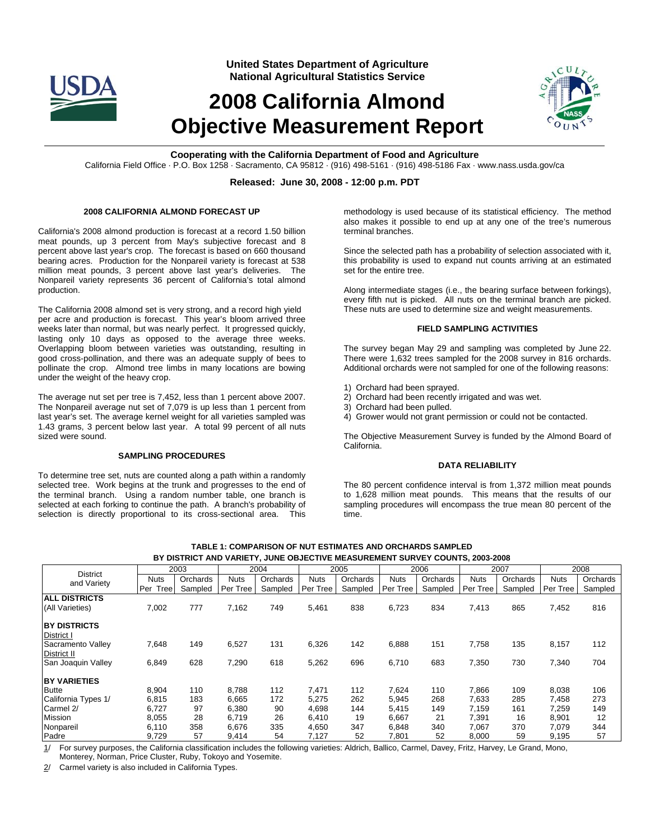

**United States Department of Agriculture National Agricultural Statistics Service**

# **2008 California Almond Objective Measurement Report**



**Cooperating with the California Department of Food and Agriculture** 

California Field Office · P.O. Box 1258 · Sacramento, CA 95812 · (916) 498-5161 · (916) 498-5186 Fax · www.nass.usda.gov/ca

## **Released: June 30, 2008 - 12:00 p.m. PDT**

## **2008 CALIFORNIA ALMOND FORECAST UP**

California's 2008 almond production is forecast at a record 1.50 billion meat pounds, up 3 percent from May's subjective forecast and 8 percent above last year's crop. The forecast is based on 660 thousand bearing acres. Production for the Nonpareil variety is forecast at 538 million meat pounds, 3 percent above last year's deliveries. The Nonpareil variety represents 36 percent of California's total almond production.

The California 2008 almond set is very strong, and a record high yield per acre and production is forecast. This year's bloom arrived three weeks later than normal, but was nearly perfect. It progressed quickly, lasting only 10 days as opposed to the average three weeks. Overlapping bloom between varieties was outstanding, resulting in good cross-pollination, and there was an adequate supply of bees to pollinate the crop. Almond tree limbs in many locations are bowing under the weight of the heavy crop.

The average nut set per tree is 7,452, less than 1 percent above 2007. The Nonpareil average nut set of 7,079 is up less than 1 percent from last year's set. The average kernel weight for all varieties sampled was 1.43 grams, 3 percent below last year. A total 99 percent of all nuts sized were sound.

#### **SAMPLING PROCEDURES**

To determine tree set, nuts are counted along a path within a randomly selected tree. Work begins at the trunk and progresses to the end of the terminal branch. Using a random number table, one branch is selected at each forking to continue the path. A branch's probability of selection is directly proportional to its cross-sectional area. This

methodology is used because of its statistical efficiency. The method also makes it possible to end up at any one of the tree's numerous terminal branches.

Since the selected path has a probability of selection associated with it, this probability is used to expand nut counts arriving at an estimated set for the entire tree.

Along intermediate stages (i.e., the bearing surface between forkings), every fifth nut is picked. All nuts on the terminal branch are picked. These nuts are used to determine size and weight measurements.

#### **FIELD SAMPLING ACTIVITIES**

The survey began May 29 and sampling was completed by June 22. There were 1,632 trees sampled for the 2008 survey in 816 orchards. Additional orchards were not sampled for one of the following reasons:

- 1) Orchard had been sprayed.
- 2) Orchard had been recently irrigated and was wet.
- 3) Orchard had been pulled.
- 4) Grower would not grant permission or could not be contacted.

The Objective Measurement Survey is funded by the Almond Board of California.

#### **DATA RELIABILITY**

The 80 percent confidence interval is from 1,372 million meat pounds to 1,628 million meat pounds. This means that the results of our sampling procedures will encompass the true mean 80 percent of the time.

| <b>District</b>      | 2003        |          | 2004     |          | 2005     |          | 2006        |          | 2007        |          | 2008        |          |
|----------------------|-------------|----------|----------|----------|----------|----------|-------------|----------|-------------|----------|-------------|----------|
| and Variety          | Nuts        | Orchards | Nuts     | Orchards | Nuts     | Orchards | <b>Nuts</b> | Orchards | <b>Nuts</b> | Orchards | <b>Nuts</b> | Orchards |
|                      | Tree<br>Per | Sampled  | Per Tree | Sampled  | Per Tree | Sampled  | Per Tree    | Sampled  | Per Tree    | Sampled  | Per Tree    | Sampled  |
| <b>ALL DISTRICTS</b> |             |          |          |          |          |          |             |          |             |          |             |          |
| (All Varieties)      | 7,002       | 777      | 7,162    | 749      | 5,461    | 838      | 6,723       | 834      | 7,413       | 865      | 7,452       | 816      |
|                      |             |          |          |          |          |          |             |          |             |          |             |          |
| <b>BY DISTRICTS</b>  |             |          |          |          |          |          |             |          |             |          |             |          |
| District I           |             |          |          |          |          |          |             |          |             |          |             |          |
| Sacramento Valley    | 7,648       | 149      | 6,527    | 131      | 6,326    | 142      | 6,888       | 151      | 7,758       | 135      | 8,157       | 112      |
| District II          |             |          |          |          |          |          |             |          |             |          |             |          |
| San Joaquin Valley   | 6,849       | 628      | 7,290    | 618      | 5,262    | 696      | 6,710       | 683      | 7,350       | 730      | 7,340       | 704      |
| <b>BY VARIETIES</b>  |             |          |          |          |          |          |             |          |             |          |             |          |
| <b>Butte</b>         | 8,904       | 110      | 8,788    | 112      | 7,471    | 112      | 7.624       | 110      | 7.866       | 109      | 8.038       | 106      |
| California Types 1/  | 6,815       | 183      | 6,665    | 172      | 5,275    | 262      | 5,945       | 268      | 7.633       | 285      | 7,458       | 273      |
| Carmel 2/            | 6,727       | 97       | 6,380    | 90       | 4,698    | 144      | 5,415       | 149      | 7.159       | 161      | 7,259       | 149      |
| <b>Mission</b>       | 8,055       | 28       | 6,719    | 26       | 6,410    | 19       | 6,667       | 21       | 7,391       | 16       | 8,901       | 12       |
| Nonpareil            | 6,110       | 358      | 6,676    | 335      | 4,650    | 347      | 6,848       | 340      | 7,067       | 370      | 7,079       | 344      |
| Padre                | 9,729       | 57       | 9,414    | 54       | 7,127    | 52       | 7,801       | 52       | 8,000       | 59       | 9,195       | 57       |

**TABLE 1: COMPARISON OF NUT ESTIMATES AND ORCHARDS SAMPLED BY DISTRICT AND VARIETY, JUNE OBJECTIVE MEASUREMENT SURVEY COUNTS, 2003-2008** 

1/ For survey purposes, the California classification includes the following varieties: Aldrich, Ballico, Carmel, Davey, Fritz, Harvey, Le Grand, Mono, Monterey, Norman, Price Cluster, Ruby, Tokoyo and Yosemite.

2/ Carmel variety is also included in California Types.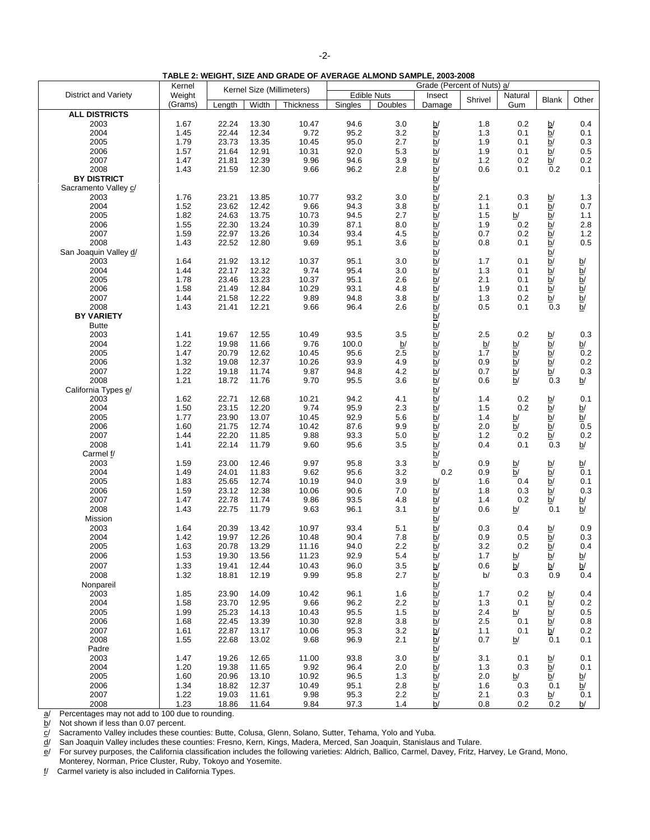|--|

**TABLE 2: WEIGHT, SIZE AND GRADE OF AVERAGE ALMOND SAMPLE, 2003-2008** 

|                             | Kernel  |                           |                | <b>I ADLE 2: WEIGHT, SIZE AND GRADE OF AVERAGE ALMOND SAMFLE, 2003-2006</b> |                    |         |                                                                  |            |                          |                                                                                                                                                                                                                                                                                                                                                                                                                              |                                                                       |
|-----------------------------|---------|---------------------------|----------------|-----------------------------------------------------------------------------|--------------------|---------|------------------------------------------------------------------|------------|--------------------------|------------------------------------------------------------------------------------------------------------------------------------------------------------------------------------------------------------------------------------------------------------------------------------------------------------------------------------------------------------------------------------------------------------------------------|-----------------------------------------------------------------------|
| <b>District and Variety</b> | Weight  | Kernel Size (Millimeters) |                |                                                                             | <b>Edible Nuts</b> |         | Grade (Percent of Nuts) a/<br>Insect                             |            | Natural                  |                                                                                                                                                                                                                                                                                                                                                                                                                              |                                                                       |
|                             | (Grams) | Length                    | Width          | Thickness                                                                   | Singles            | Doubles | Damage                                                           | Shrivel    | Gum                      | <b>Blank</b>                                                                                                                                                                                                                                                                                                                                                                                                                 | Other                                                                 |
| <b>ALL DISTRICTS</b>        |         |                           |                |                                                                             |                    |         |                                                                  |            |                          |                                                                                                                                                                                                                                                                                                                                                                                                                              |                                                                       |
| 2003                        | 1.67    | 22.24                     | 13.30          | 10.47                                                                       | 94.6               | 3.0     |                                                                  | 1.8        | 0.2                      | b/                                                                                                                                                                                                                                                                                                                                                                                                                           | 0.4                                                                   |
| 2004                        | 1.45    | 22.44                     | 12.34          | 9.72                                                                        | 95.2               | 3.2     | $\frac{b}{b}$                                                    | 1.3        | 0.1                      |                                                                                                                                                                                                                                                                                                                                                                                                                              | 0.1                                                                   |
| 2005                        | 1.79    | 23.73                     | 13.35          | 10.45                                                                       | 95.0               | 2.7     |                                                                  | 1.9        | 0.1                      | $\frac{b}{b}$                                                                                                                                                                                                                                                                                                                                                                                                                | 0.3                                                                   |
| 2006                        | 1.57    | 21.64                     | 12.91          | 10.31                                                                       | 92.0               | 5.3     |                                                                  | 1.9        | 0.1                      | $\overline{b}$                                                                                                                                                                                                                                                                                                                                                                                                               | 0.5                                                                   |
| 2007                        | 1.47    | 21.81                     | 12.39          | 9.96                                                                        | 94.6               | 3.9     |                                                                  | 1.2        | 0.2                      | $\overline{b}$                                                                                                                                                                                                                                                                                                                                                                                                               | 0.2                                                                   |
| 2008                        | 1.43    | 21.59                     | 12.30          | 9.66                                                                        | 96.2               | 2.8     | $\frac{b}{b}$                                                    | 0.6        | 0.1                      | 0.2                                                                                                                                                                                                                                                                                                                                                                                                                          | 0.1                                                                   |
| <b>BY DISTRICT</b>          |         |                           |                |                                                                             |                    |         | $\overline{b}$                                                   |            |                          |                                                                                                                                                                                                                                                                                                                                                                                                                              |                                                                       |
| Sacramento Valley c/        |         |                           |                |                                                                             |                    |         | $\overline{b}$                                                   |            |                          |                                                                                                                                                                                                                                                                                                                                                                                                                              |                                                                       |
| 2003                        | 1.76    | 23.21                     | 13.85          | 10.77                                                                       | 93.2               | 3.0     |                                                                  | 2.1        | 0.3                      |                                                                                                                                                                                                                                                                                                                                                                                                                              | $1.3$                                                                 |
| 2004                        | 1.52    | 23.62                     | 12.42          | 9.66                                                                        | 94.3               | 3.8     |                                                                  | 1.1        | 0.1                      |                                                                                                                                                                                                                                                                                                                                                                                                                              | 0.7                                                                   |
| 2005                        | 1.82    | 24.63                     | 13.75          | 10.73                                                                       | 94.5               | 2.7     |                                                                  | 1.5        | b/                       |                                                                                                                                                                                                                                                                                                                                                                                                                              | 1.1                                                                   |
| 2006                        | 1.55    | 22.30                     | 13.24          | 10.39                                                                       | 87.1               | 8.0     |                                                                  | 1.9        | 0.2                      |                                                                                                                                                                                                                                                                                                                                                                                                                              | 2.8                                                                   |
| 2007                        | 1.59    | 22.97                     |                | 10.34                                                                       | 93.4               |         |                                                                  |            |                          |                                                                                                                                                                                                                                                                                                                                                                                                                              | $1.2$                                                                 |
| 2008                        |         |                           | 13.26<br>12.80 | 9.69                                                                        | 95.1               | 4.5     |                                                                  | 0.7<br>0.8 | 0.2<br>0.1               |                                                                                                                                                                                                                                                                                                                                                                                                                              | 0.5                                                                   |
|                             | 1.43    | 22.52                     |                |                                                                             |                    | 3.6     |                                                                  |            |                          |                                                                                                                                                                                                                                                                                                                                                                                                                              |                                                                       |
| San Joaquin Valley d/       |         |                           |                |                                                                             |                    |         | <u>ה ה ה ה ה ה ה ה ה ה ה ה ה</u>                                 |            |                          | <u>ה ה ה ה ה ה ה ה ה ה ה</u>                                                                                                                                                                                                                                                                                                                                                                                                 |                                                                       |
| 2003                        | 1.64    | 21.92                     | 13.12          | 10.37                                                                       | 95.1               | 3.0     |                                                                  | 1.7        | 0.1                      |                                                                                                                                                                                                                                                                                                                                                                                                                              |                                                                       |
| 2004                        | 1.44    | 22.17                     | 12.32          | 9.74                                                                        | 95.4               | 3.0     |                                                                  | 1.3        | 0.1                      |                                                                                                                                                                                                                                                                                                                                                                                                                              |                                                                       |
| 2005                        | 1.78    | 23.46                     | 13.23          | 10.37                                                                       | 95.1               | 2.6     |                                                                  | 2.1        | 0.1                      |                                                                                                                                                                                                                                                                                                                                                                                                                              |                                                                       |
| 2006                        | 1.58    | 21.49                     | 12.84          | 10.29                                                                       | 93.1               | 4.8     |                                                                  | 1.9        | 0.1                      |                                                                                                                                                                                                                                                                                                                                                                                                                              |                                                                       |
| 2007                        | 1.44    | 21.58                     | 12.22          | 9.89                                                                        | 94.8               | 3.8     |                                                                  | $1.3$      | 0.2                      | $\mathsf{b}/% \mathsf{b}/% \mathsf{b}/% \mathsf{b}/% \mathsf{b}/% \mathsf{b}/% \mathsf{b}/% \mathsf{b}/% \mathsf{b}/% \mathsf{b}/% \mathsf{b}/% \mathsf{b}/% \mathsf{b}/% \mathsf{b}/% \mathsf{b}/% \mathsf{b}/% \mathsf{b}/% \mathsf{b}/% \mathsf{b}/% \mathsf{b}/% \mathsf{b}/% \mathsf{b}/% \mathsf{b}/% \mathsf{b}/% \mathsf{b}/% \mathsf{b}/% \mathsf{b}/% \mathsf{b}/% \mathsf{b}/% \mathsf{b}/% \mathsf{b}/% \mathsf$ | $\frac{1}{2}$ $\frac{1}{2}$ $\frac{1}{2}$ $\frac{1}{2}$ $\frac{1}{2}$ |
| 2008                        | 1.43    | 21.41                     | 12.21          | 9.66                                                                        | 96.4               | 2.6     |                                                                  | 0.5        | 0.1                      | 0.3                                                                                                                                                                                                                                                                                                                                                                                                                          |                                                                       |
| <b>BY VARIETY</b>           |         |                           |                |                                                                             |                    |         | $\frac{b}{b}$                                                    |            |                          |                                                                                                                                                                                                                                                                                                                                                                                                                              |                                                                       |
| <b>Butte</b>                |         |                           |                |                                                                             |                    |         |                                                                  |            |                          |                                                                                                                                                                                                                                                                                                                                                                                                                              |                                                                       |
| 2003                        | 1.41    | 19.67                     | 12.55          | 10.49                                                                       | 93.5               | 3.5     | $\overline{b}$                                                   | $2.5\,$    | 0.2                      | b/                                                                                                                                                                                                                                                                                                                                                                                                                           | 0.3                                                                   |
| 2004                        | 1.22    | 19.98                     | 11.66          | 9.76                                                                        | 100.0              | b/      | $\overline{b}$                                                   | b/         | b/                       |                                                                                                                                                                                                                                                                                                                                                                                                                              | b/                                                                    |
| 2005                        | 1.47    | 20.79                     | 12.62          | 10.45                                                                       | 95.6               | 2.5     |                                                                  | 1.7        | $\frac{b}{b}$            | $\frac{\overline{p}}{\overline{p}}$                                                                                                                                                                                                                                                                                                                                                                                          | 0.2                                                                   |
| 2006                        | 1.32    | 19.08                     | 12.37          | 10.26                                                                       | 93.9               | 4.9     |                                                                  | 0.9        |                          |                                                                                                                                                                                                                                                                                                                                                                                                                              | 0.2                                                                   |
| 2007                        | 1.22    | 19.18                     | 11.74          | 9.87                                                                        | 94.8               | 4.2     |                                                                  | 0.7        |                          |                                                                                                                                                                                                                                                                                                                                                                                                                              | 0.3                                                                   |
| 2008                        | 1.21    | 18.72                     | 11.76          | 9.70                                                                        | 95.5               | 3.6     |                                                                  | 0.6        | $\overline{b}$           | 0.3                                                                                                                                                                                                                                                                                                                                                                                                                          | b/                                                                    |
| California Types e/         |         |                           |                |                                                                             |                    |         | $\frac{\overline{D}}{\overline{D}}$                              |            |                          |                                                                                                                                                                                                                                                                                                                                                                                                                              |                                                                       |
| 2003                        | 1.62    | 22.71                     | 12.68          | 10.21                                                                       | 94.2               | 4.1     |                                                                  | 1.4        | 0.2                      | $\frac{b}{b}$                                                                                                                                                                                                                                                                                                                                                                                                                | 0.1                                                                   |
| 2004                        | 1.50    | 23.15                     | 12.20          | 9.74                                                                        | 95.9               | 2.3     |                                                                  | 1.5        | 0.2                      |                                                                                                                                                                                                                                                                                                                                                                                                                              | $\frac{b}{b}$                                                         |
| 2005                        | 1.77    | 23.90                     | 13.07          | 10.45                                                                       | 92.9               | 5.6     |                                                                  | 1.4        | b/                       | $\frac{\overline{p}}{\overline{p}}$                                                                                                                                                                                                                                                                                                                                                                                          |                                                                       |
| 2006                        | 1.60    | 21.75                     | 12.74          | 10.42                                                                       | 87.6               | 9.9     | $\frac{\overline{b}}{\overline{b}}$                              | $2.0\,$    | b/                       |                                                                                                                                                                                                                                                                                                                                                                                                                              | 0.5                                                                   |
| 2007                        | 1.44    | 22.20                     | 11.85          | 9.88                                                                        | 93.3               | 5.0     |                                                                  | 1.2        | 0.2                      |                                                                                                                                                                                                                                                                                                                                                                                                                              | 0.2                                                                   |
| 2008                        | 1.41    | 22.14                     | 11.79          | 9.60                                                                        | 95.6               | 3.5     |                                                                  | 0.4        | 0.1                      | 0.3                                                                                                                                                                                                                                                                                                                                                                                                                          | b/                                                                    |
| Carmel f/                   |         |                           |                |                                                                             |                    |         | b/                                                               |            |                          |                                                                                                                                                                                                                                                                                                                                                                                                                              |                                                                       |
| 2003                        | 1.59    | 23.00                     | 12.46          | 9.97                                                                        | 95.8               | 3.3     | b/                                                               | 0.9        | b/                       | $\mathsf{b}/% \mathsf{b}/% \mathsf{b}/% \mathsf{b}/% \mathsf{b}/% \mathsf{b}/% \mathsf{b}/% \mathsf{b}/% \mathsf{b}/% \mathsf{b}/% \mathsf{b}/% \mathsf{b}/% \mathsf{b}/% \mathsf{b}/% \mathsf{b}/% \mathsf{b}/% \mathsf{b}/% \mathsf{b}/% \mathsf{b}/% \mathsf{b}/% \mathsf{b}/% \mathsf{b}/% \mathsf{b}/% \mathsf{b}/% \mathsf{b}/% \mathsf{b}/% \mathsf{b}/% \mathsf{b}/% \mathsf{b}/% \mathsf{b}/% \mathsf{b}/% \mathsf$ | $\mathsf{b}/% \mathsf{b}$                                             |
| 2004                        | 1.49    | 24.01                     | 11.83          | 9.62                                                                        | 95.6               | 3.2     | 0.2                                                              | 0.9        | b/                       |                                                                                                                                                                                                                                                                                                                                                                                                                              | 0.1                                                                   |
| 2005                        | 1.83    | 25.65                     | 12.74          | 10.19                                                                       | 94.0               | 3.9     | $\frac{b}{b}$                                                    | 1.6        | 0.4                      | $\frac{b}{b}$                                                                                                                                                                                                                                                                                                                                                                                                                | 0.1                                                                   |
| 2006                        | 1.59    | 23.12                     | 12.38          | 10.06                                                                       | 90.6               | 7.0     |                                                                  | 1.8        | 0.3                      | $\overline{b}$                                                                                                                                                                                                                                                                                                                                                                                                               | 0.3                                                                   |
| 2007                        | 1.47    | 22.78                     | 11.74          | 9.86                                                                        | 93.5               | 4.8     | $\overline{b}$                                                   | 1.4        | 0.2                      | b/                                                                                                                                                                                                                                                                                                                                                                                                                           | b/                                                                    |
| 2008                        | 1.43    | 22.75                     | 11.79          | 9.63                                                                        | 96.1               | 3.1     | $\overline{b}$                                                   | 0.6        | b/                       | 0.1                                                                                                                                                                                                                                                                                                                                                                                                                          | $\overline{b}$                                                        |
| Mission                     |         |                           |                |                                                                             |                    |         | b/                                                               |            |                          |                                                                                                                                                                                                                                                                                                                                                                                                                              |                                                                       |
| 2003                        | 1.64    | 20.39                     | 13.42          | 10.97                                                                       | 93.4               | 5.1     | $\frac{b}{b}$                                                    | 0.3        | 0.4                      | b/                                                                                                                                                                                                                                                                                                                                                                                                                           | 0.9                                                                   |
| 2004                        | 1.42    | 19.97                     | 12.26          | 10.48                                                                       | 90.4               | 7.8     |                                                                  | 0.9        | 0.5                      | $\overline{b}$                                                                                                                                                                                                                                                                                                                                                                                                               | 0.3                                                                   |
| 2005                        | 1.63    | 20.78                     | 13.29          | 11.16                                                                       | 94.0               | 2.2     | b/                                                               | 3.2        | 0.2                      | b/                                                                                                                                                                                                                                                                                                                                                                                                                           | 0.4                                                                   |
| 2006                        | 1.53    | 19.30                     | 13.56          | 11.23                                                                       | 92.9               | 5.4     | b/                                                               | 1.7        | b/                       | b/                                                                                                                                                                                                                                                                                                                                                                                                                           | b/                                                                    |
| 2007                        | 1.33    | 19.41                     | 12.44          | 10.43                                                                       | 96.0               | $3.5\,$ | b/                                                               | 0.6        | $\underline{\mathsf{b}}$ | $\mathsf{b}/% \mathsf{b}$                                                                                                                                                                                                                                                                                                                                                                                                    | b/                                                                    |
| 2008                        | 1.32    | 18.81                     | 12.19          | 9.99                                                                        | 95.8               | 2.7     |                                                                  | b/         | 0.3                      | 0.9                                                                                                                                                                                                                                                                                                                                                                                                                          | 0.4                                                                   |
| Nonpareil                   |         |                           |                |                                                                             |                    |         | $\frac{1}{2}$ of $\frac{1}{2}$ of $\frac{1}{2}$ of $\frac{1}{2}$ |            |                          |                                                                                                                                                                                                                                                                                                                                                                                                                              |                                                                       |
| 2003                        | 1.85    | 23.90                     | 14.09          | 10.42                                                                       | 96.1               | 1.6     |                                                                  | 1.7        | 0.2                      |                                                                                                                                                                                                                                                                                                                                                                                                                              | 0.4                                                                   |
| 2004                        | 1.58    | 23.70                     | 12.95          | 9.66                                                                        | 96.2               | 2.2     |                                                                  | 1.3        | 0.1                      | $\frac{b}{b}$                                                                                                                                                                                                                                                                                                                                                                                                                | 0.2                                                                   |
| 2005                        | 1.99    | 25.23                     | 14.13          | 10.43                                                                       | 95.5               | 1.5     |                                                                  | 2.4        | <u>b/</u>                |                                                                                                                                                                                                                                                                                                                                                                                                                              | 0.5                                                                   |
| 2006                        | 1.68    | 22.45                     | 13.39          | 10.30                                                                       | 92.8               | 3.8     |                                                                  | 2.5        | 0.1                      | $\frac{b}{b}$                                                                                                                                                                                                                                                                                                                                                                                                                | 0.8                                                                   |
| 2007                        | 1.61    | 22.87                     | 13.17          | 10.06                                                                       | 95.3               | 3.2     |                                                                  | 1.1        | 0.1                      | $b/$                                                                                                                                                                                                                                                                                                                                                                                                                         | 0.2                                                                   |
| 2008                        | 1.55    | 22.68                     | 13.02          | 9.68                                                                        | 96.9               | 2.1     |                                                                  | 0.7        | b/                       | 0.1                                                                                                                                                                                                                                                                                                                                                                                                                          | 0.1                                                                   |
| Padre                       |         |                           |                |                                                                             |                    |         | $\frac{\overline{b}}{b}$                                         |            |                          |                                                                                                                                                                                                                                                                                                                                                                                                                              |                                                                       |
| 2003                        | 1.47    | 19.26                     | 12.65          | 11.00                                                                       | 93.8               | 3.0     | $\overline{b}$                                                   | 3.1        | 0.1                      |                                                                                                                                                                                                                                                                                                                                                                                                                              | 0.1                                                                   |
| 2004                        | 1.20    | 19.38                     | 11.65          | 9.92                                                                        | 96.4               | 2.0     |                                                                  | 1.3        | 0.3                      | b/<br>$b/$                                                                                                                                                                                                                                                                                                                                                                                                                   | 0.1                                                                   |
| 2005                        | 1.60    | 20.96                     | 13.10          | 10.92                                                                       | 96.5               | 1.3     | b/                                                               | 2.0        | b/                       | $b/$                                                                                                                                                                                                                                                                                                                                                                                                                         |                                                                       |
| 2006                        | 1.34    | 18.82                     | 12.37          | 10.49                                                                       | 95.1               | 2.8     |                                                                  | 1.6        | 0.3                      | 0.1                                                                                                                                                                                                                                                                                                                                                                                                                          | $\frac{\mathsf{b}}{\mathsf{b}}$                                       |
| 2007                        | 1.22    | 19.03                     | 11.61          | 9.98                                                                        | 95.3               | 2.2     |                                                                  | 2.1        | 0.3                      | b/                                                                                                                                                                                                                                                                                                                                                                                                                           | 0.1                                                                   |
| 2008                        | 1.23    | 18.86                     | 11.64          | 9.84                                                                        | 97.3               | 1.4     | $\frac{\overline{p}}{\overline{p}}$                              | 0.8        | 0.2                      | 0.2                                                                                                                                                                                                                                                                                                                                                                                                                          | b/                                                                    |

a/ Percentages may not add to 100 due to rounding.

 $\overline{b}$  Not shown if less than 0.07 percent.

 $\underline{c}/$  Sacramento Valley includes these counties: Butte, Colusa, Glenn, Solano, Sutter, Tehama, Yolo and Yuba.<br> $\underline{d}/$  San Joaquin Valley includes these counties: Fresno, Kern, Kings, Madera, Merced, San Joaquin, Stani

d/ San Joaquin Valley includes these counties: Fresno, Kern, Kings, Madera, Merced, San Joaquin, Stanislaus and Tulare.

e/ For survey purposes, the California classification includes the following varieties: Aldrich, Ballico, Carmel, Davey, Fritz, Harvey, Le Grand, Mono,  $e/$  For survey purposes, the California classification includes the forman, Price Cluster, Ruby, Tokoyo and Yosemite.

f/ Carmel variety is also included in California Types.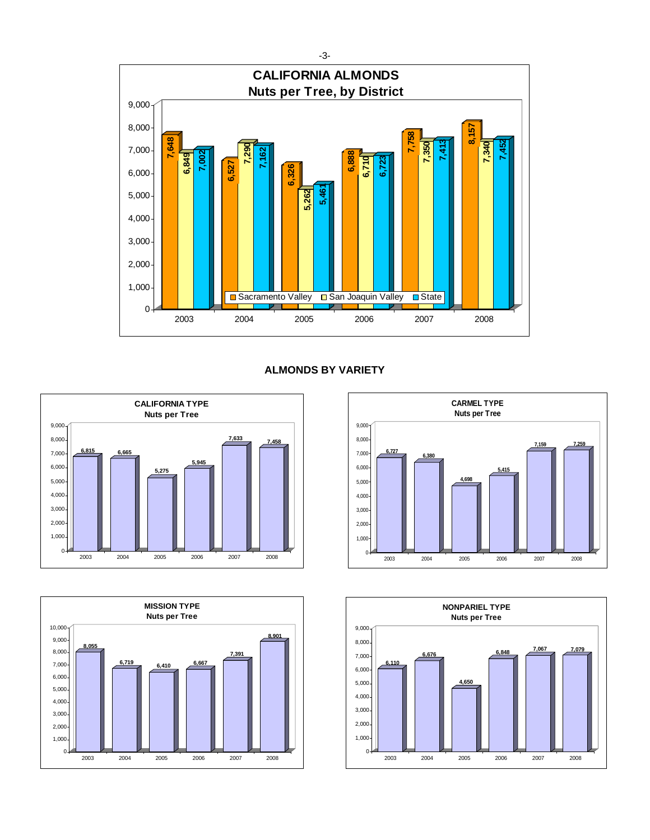

# **ALMONDS BY VARIETY**